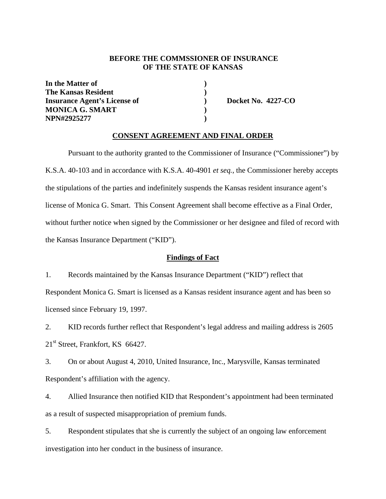### **BEFORE THE COMMSSIONER OF INSURANCE OF THE STATE OF KANSAS**

**In the Matter of ) The Kansas Resident** (1) **Insurance Agent's License of**  $\qquad$  **Docket No. 4227-CO MONICA G. SMART ) NPN#2925277 )** 

#### **CONSENT AGREEMENT AND FINAL ORDER**

Pursuant to the authority granted to the Commissioner of Insurance ("Commissioner") by K.S.A. 40-103 and in accordance with K.S.A. 40-4901 *et seq.*, the Commissioner hereby accepts the stipulations of the parties and indefinitely suspends the Kansas resident insurance agent's license of Monica G. Smart. This Consent Agreement shall become effective as a Final Order, without further notice when signed by the Commissioner or her designee and filed of record with the Kansas Insurance Department ("KID").

#### **Findings of Fact**

1. Records maintained by the Kansas Insurance Department ("KID") reflect that Respondent Monica G. Smart is licensed as a Kansas resident insurance agent and has been so licensed since February 19, 1997.

2. KID records further reflect that Respondent's legal address and mailing address is 2605 21<sup>st</sup> Street, Frankfort, KS 66427.

3. On or about August 4, 2010, United Insurance, Inc., Marysville, Kansas terminated Respondent's affiliation with the agency.

4. Allied Insurance then notified KID that Respondent's appointment had been terminated as a result of suspected misappropriation of premium funds.

5. Respondent stipulates that she is currently the subject of an ongoing law enforcement investigation into her conduct in the business of insurance.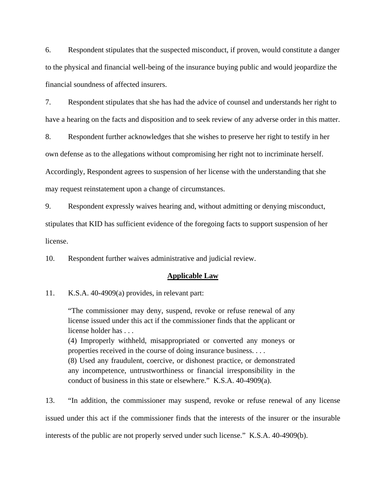6. Respondent stipulates that the suspected misconduct, if proven, would constitute a danger to the physical and financial well-being of the insurance buying public and would jeopardize the financial soundness of affected insurers.

7. Respondent stipulates that she has had the advice of counsel and understands her right to have a hearing on the facts and disposition and to seek review of any adverse order in this matter.

8. Respondent further acknowledges that she wishes to preserve her right to testify in her own defense as to the allegations without compromising her right not to incriminate herself. Accordingly, Respondent agrees to suspension of her license with the understanding that she may request reinstatement upon a change of circumstances.

9. Respondent expressly waives hearing and, without admitting or denying misconduct, stipulates that KID has sufficient evidence of the foregoing facts to support suspension of her license.

10. Respondent further waives administrative and judicial review.

#### **Applicable Law**

11. K.S.A. 40-4909(a) provides, in relevant part:

"The commissioner may deny, suspend, revoke or refuse renewal of any license issued under this act if the commissioner finds that the applicant or license holder has . . .

(4) Improperly withheld, misappropriated or converted any moneys or properties received in the course of doing insurance business. . . .

(8) Used any fraudulent, coercive, or dishonest practice, or demonstrated any incompetence, untrustworthiness or financial irresponsibility in the conduct of business in this state or elsewhere." K.S.A. 40-4909(a).

13. "In addition, the commissioner may suspend, revoke or refuse renewal of any license issued under this act if the commissioner finds that the interests of the insurer or the insurable interests of the public are not properly served under such license." K.S.A. 40-4909(b).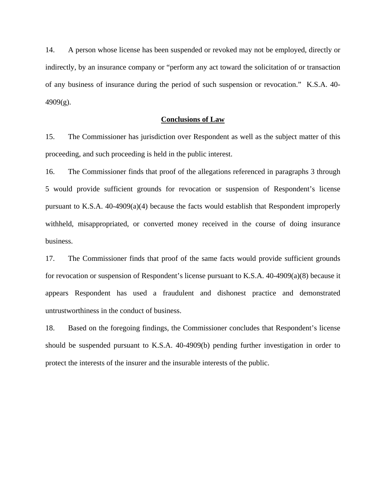14. A person whose license has been suspended or revoked may not be employed, directly or indirectly, by an insurance company or "perform any act toward the solicitation of or transaction of any business of insurance during the period of such suspension or revocation." K.S.A. 40- 4909(g).

#### **Conclusions of Law**

15. The Commissioner has jurisdiction over Respondent as well as the subject matter of this proceeding, and such proceeding is held in the public interest.

16. The Commissioner finds that proof of the allegations referenced in paragraphs 3 through 5 would provide sufficient grounds for revocation or suspension of Respondent's license pursuant to K.S.A. 40-4909(a)(4) because the facts would establish that Respondent improperly withheld, misappropriated, or converted money received in the course of doing insurance business.

17. The Commissioner finds that proof of the same facts would provide sufficient grounds for revocation or suspension of Respondent's license pursuant to K.S.A. 40-4909(a)(8) because it appears Respondent has used a fraudulent and dishonest practice and demonstrated untrustworthiness in the conduct of business.

18. Based on the foregoing findings, the Commissioner concludes that Respondent's license should be suspended pursuant to K.S.A. 40-4909(b) pending further investigation in order to protect the interests of the insurer and the insurable interests of the public.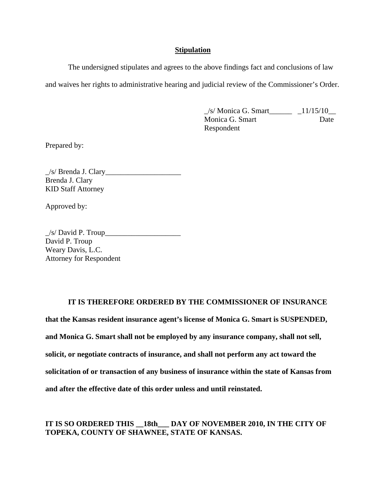#### **Stipulation**

The undersigned stipulates and agrees to the above findings fact and conclusions of law and waives her rights to administrative hearing and judicial review of the Commissioner's Order.

> $\angle$ s/ Monica G. Smart $\angle$   $\angle$  11/15/10 $\angle$ Monica G. Smart Date Respondent

Prepared by:

 $\angle$ s/ Brenda J. Clary Brenda J. Clary KID Staff Attorney

Approved by:

 $\angle$ s/ David P. Troup $\angle$ David P. Troup Weary Davis, L.C. Attorney for Respondent

### **IT IS THEREFORE ORDERED BY THE COMMISSIONER OF INSURANCE**

**that the Kansas resident insurance agent's license of Monica G. Smart is SUSPENDED, and Monica G. Smart shall not be employed by any insurance company, shall not sell, solicit, or negotiate contracts of insurance, and shall not perform any act toward the solicitation of or transaction of any business of insurance within the state of Kansas from and after the effective date of this order unless and until reinstated.** 

## **IT IS SO ORDERED THIS \_\_18th\_\_\_ DAY OF NOVEMBER 2010, IN THE CITY OF TOPEKA, COUNTY OF SHAWNEE, STATE OF KANSAS.**